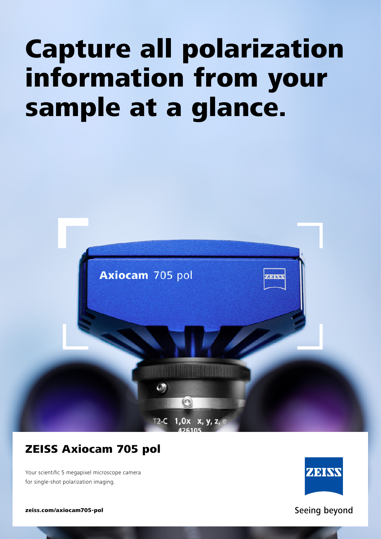# Capture all polarization information from your sample at a glance.



## ZEISS Axiocam 705 pol

Your scientific 5 megapixel microscope camera for single-shot polarization imaging.



Seeing beyond

zeiss.com/axiocam705-pol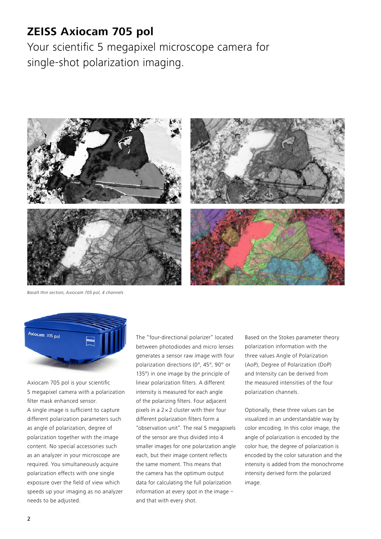### **ZEISS Axiocam 705 pol**

Your scientific 5 megapixel microscope camera for single-shot polarization imaging.



*Basalt thin section, Axiocam 705 pol, 4 channels*



Axiocam 705 pol is your scientific 5 megapixel camera with a polarization filter mask enhanced sensor. A single image is sufficient to capture different polarization parameters such as angle of polarization, degree of polarization together with the image content. No special accessories such as an analyzer in your microscope are required. You simultaneously acquire polarization effects with one single exposure over the field of view which speeds up your imaging as no analyzer needs to be adjusted.

The "four-directional polarizer" located between photodiodes and micro lenses generates a sensor raw image with four polarization directions (0°, 45°, 90° or 135°) in one image by the principle of linear polarization filters. A different intensity is measured for each angle of the polarizing filters. Four adjacent pixels in a 2 *×* 2 cluster with their four different polarization filters form a "observation unit". The real 5 megapixels of the sensor are thus divided into 4 smaller images for one polarization angle each, but their image content reflects the same moment. This means that the camera has the optimum output data for calculating the full polarization information at every spot in the image – and that with every shot.

Based on the Stokes parameter theory polarization information with the three values Angle of Polarization (AoP), Degree of Polarization (DoP) and Intensity can be derived from the measured intensities of the four polarization channels.

Optionally, these three values can be visualized in an understandable way by color encoding. In this color image, the angle of polarization is encoded by the color hue, the degree of polarization is encoded by the color saturation and the intensity is added from the monochrome intensity derived form the polarized image.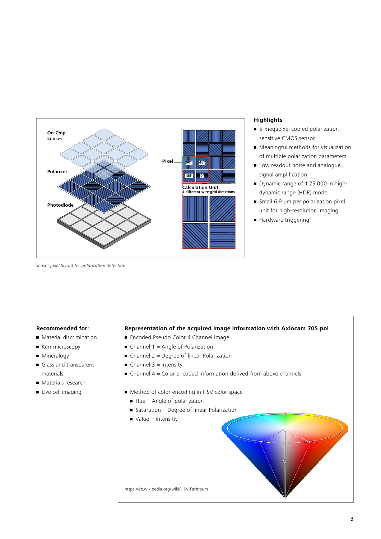

#### **Highlights**

- 5-megapixel cooled polarization sensitive CMOS sensor
- Meaningful methods for visualization of multiple polarization parameters
- **Low readout noise and analogue** signal amplification
- Dynamic range of 1:25,000 in highdynamic range (HDR) mode
- $\blacksquare$  Small 6.9 μm per polarization pixel unit for high-resolution imaging
- Hardware triggering

*Sensor pixel layout for polarization detection*

#### **Recommended for:**

- Material discrimination
- **E** Kerr microscopy
- **•** Mineralogy
- Glass and transparent materials
- Materials research
- **•** Live cell imaging

#### **Representation of the acquired image information with Axiocam 705 pol**

- Encoded Pseudo Color 4 Channel Image
- $\blacksquare$  Channel 1 = Angle of Polarization
- $\blacksquare$  Channel 2 = Degree of linear Polarization
- $\blacksquare$  Channel 3 = Intensity
- $\blacksquare$  Channel 4 = Color encoded information derived from above channels
- Method of color encoding in HSV color space
	- $\blacksquare$  Hue = Angle of polarization
	- Saturation = Degree of linear Polarization
	- $\blacksquare$  Value = Intensitiy

https://de.wikipedia.org/wiki/HSV-Farbraum